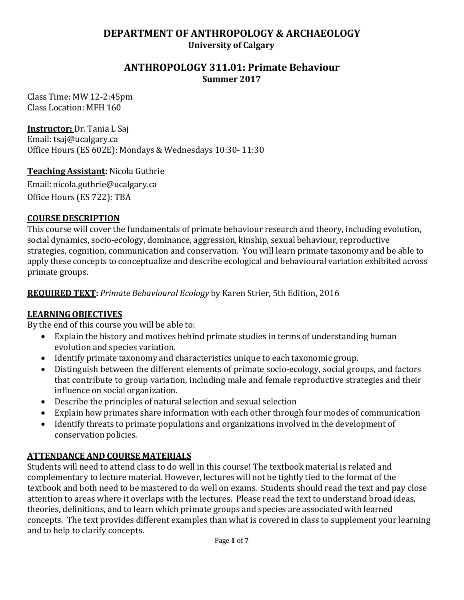# **DEPARTMENT OF ANTHROPOLOGY & ARCHAEOLOGY University of Calgary**

#### **ANTHROPOLOGY 311.01: Primate Behaviour Summer 2017**

Class Time: MW 12-2:45pm Class Location: MFH 160

**Instructor:** Dr. Tania L Saj

Email: [tsaj@ucalgary.ca](mailto:tsaj@ucalgary.ca) Office Hours (ES 602E): Mondays & Wednesdays 10:30- 11:30

#### **Teaching Assistant:** Nicola Guthrie

Email: [nicola.guthrie@ucalgary.ca](mailto:nicola.guthrie@ucalgary.ca) Office Hours (ES 722): TBA

#### **COURSE DESCRIPTION**

This course will cover the fundamentals of primate behaviour research and theory, including evolution, social dynamics, socio-ecology, dominance, aggression, kinship, sexual behaviour, reproductive strategies, cognition, communication and conservation. You will learn primate taxonomy and be able to apply these concepts to conceptualize and describe ecological and behavioural variation exhibited across primate groups.

#### **REQUIRED TEXT:** *Primate Behavioural Ecology* by Karen Strier, 5th Edition, 2016

## **LEARNINGOBJECTIVES**

By the end of this course you will be able to:

- Explain the history and motives behind primate studies in terms of understanding human evolution and species variation.
- Identify primate taxonomy and characteristics unique to each taxonomic group.
- Distinguish between the different elements of primate socio-ecology, social groups, and factors that contribute to group variation, including male and female reproductive strategies and their influence on social organization.
- Describe the principles of natural selection and sexual selection
- Explain how primates share information with each other through four modes of communication
- Identify threats to primate populations and organizations involved in the development of conservation policies.

## **ATTENDANCE AND COURSE MATERIALS**

Students will need to attend class to do well in this course! The textbook material is related and complementary to lecture material. However, lectures will not be tightly tied to the format of the textbook and both need to be mastered to do well on exams. Students should read the text and pay close attention to areas where it overlaps with the lectures. Please read the text to understand broad ideas, theories, definitions, and to learn which primate groups and species are associated with learned concepts. The text provides different examples than what is covered in class to supplement your learning and to help to clarify concepts.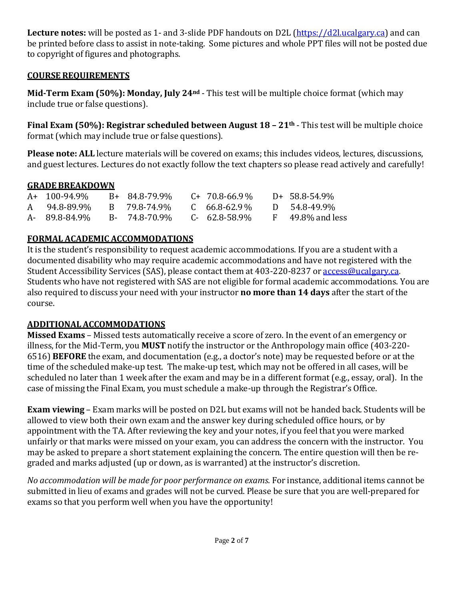**Lecture notes:** will be posted as 1- and 3-slide PDF handouts on D2L [\(https://d2l.ucalgary.ca\)](https://d2l.ucalgary.ca/) and can be printed before class to assist in note-taking. Some pictures and whole PPT files will not be posted due to copyright of figures and photographs.

### **COURSE REQUIREMENTS**

**Mid-Term Exam (50%): Monday, July 24nd** - This test will be multiple choice format (which may include true or false questions).

**Final Exam (50%): Registrar scheduled between August 18 – 21th** - This test will be multiple choice format (which may include true or false questions).

**Please note: ALL** lecture materials will be covered on exams; this includes videos, lectures, discussions, and guest lectures. Lectures do not exactly follow the text chapters so please read actively and carefully!

#### **GRADE BREAKDOWN**

| $A+ 100-94.9\%$ | $B+ 84.8-79.9\%$ | $C+70.8-66.9\%$     | $D+ 58.8 - 54.9\%$    |
|-----------------|------------------|---------------------|-----------------------|
| A 94.8-89.9%    | B 79.8-74.9%     | $C = 66.8 - 62.9\%$ | $D = 54.8 - 49.9\%$   |
| A- 89.8-84.9%   | B- 74.8-70.9%    | C- 62.8-58.9%       | $F = 49.8\%$ and less |

## **FORMAL ACADEMIC ACCOMMODATIONS**

It is the student's responsibility to request academic accommodations. If you are a student with a documented disability who may require academic accommodations and have not registered with the Student Accessibility Services (SAS), please contact them at 403-220-8237 or [access@ucalgary.ca.](mailto:access@ucalgary.ca) Students who have not registered with SAS are not eligible for formal academic accommodations. You are also required to discuss your need with your instructor **no more than 14 days** after the start of the course.

## **ADDITIONALACCOMMODATIONS**

**Missed Exams** – Missed tests automatically receive a score of zero. In the event of an emergency or illness, for the Mid-Term, you **MUST** notify the instructor or the Anthropology main office (403-220- 6516) **BEFORE** the exam, and documentation (e.g., a doctor's note) may be requested before or at the time of the scheduled make-up test. The make-up test, which may not be offered in all cases, will be scheduled no later than 1 week after the exam and may be in a different format (e.g., essay, oral). In the case of missing the Final Exam, you must schedule a make-up through the Registrar's Office.

**Exam viewing** – Exam marks will be posted on D2L but exams will not be handed back. Students will be allowed to view both their own exam and the answer key during scheduled office hours, or by appointment with the TA. After reviewing the key and your notes, if you feel that you were marked unfairly or that marks were missed on your exam, you can address the concern with the instructor. You may be asked to prepare a short statement explaining the concern. The entire question will then be regraded and marks adjusted (up or down, as is warranted) at the instructor's discretion.

*No accommodation will be made for poor performance on exams*. For instance, additional items cannot be submitted in lieu of exams and grades will not be curved. Please be sure that you are well-prepared for exams so that you perform well when you have the opportunity!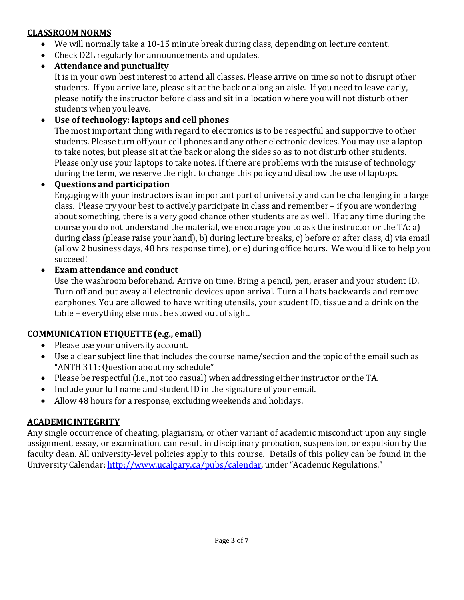#### **CLASSROOM NORMS**

- We will normally take a 10-15 minute break during class, depending on lecture content.
- Check D2L regularly for announcements and updates.

# • **Attendance and punctuality**

It is in your own best interest to attend all classes. Please arrive on time so not to disrupt other students. If you arrive late, please sit at the back or along an aisle. If you need to leave early, please notify the instructor before class and sit in a location where you will not disturb other students when you leave.

# • **Use of technology: laptops and cell phones**

The most important thing with regard to electronics is to be respectful and supportive to other students. Please turn off your cell phones and any other electronic devices. You may use a laptop to take notes, but please sit at the back or along the sides so as to not disturb other students. Please only use your laptops to take notes. If there are problems with the misuse of technology during the term, we reserve the right to change this policy and disallow the use of laptops.

# • **Questions and participation**

Engaging with your instructors is an important part of university and can be challenging in a large class. Please try your best to actively participate in class and remember – if you are wondering about something, there is a very good chance other students are as well. If at any time during the course you do not understand the material, we encourage you to ask the instructor or the TA: a) during class (please raise your hand), b) during lecture breaks, c) before or after class, d) via email (allow 2 business days, 48 hrs response time), or e) during office hours. We would like to help you succeed!

# • **Exam attendance and conduct**

Use the washroom beforehand. Arrive on time. Bring a pencil, pen, eraser and your student ID. Turn off and put away all electronic devices upon arrival. Turn all hats backwards and remove earphones. You are allowed to have writing utensils, your student ID, tissue and a drink on the table – everything else must be stowed out of sight.

# **COMMUNICATION ETIQUETTE (e.g., email)**

- Please use your university account.
- Use a clear subject line that includes the course name/section and the topic of the email such as "ANTH 311: Question about my schedule"
- Please be respectful (i.e., not too casual) when addressing either instructor or the TA.
- Include your full name and student ID in the signature of your email.
- Allow 48 hours for a response, excluding weekends and holidays.

# **ACADEMIC INTEGRITY**

Any single occurrence of cheating, plagiarism, or other variant of academic misconduct upon any single assignment, essay, or examination, can result in disciplinary probation, suspension, or expulsion by the faculty dean. All university-level policies apply to this course. Details of this policy can be found in the University Calendar: [http://www.ucalgary.ca/pubs/calendar,](http://www.ucalgary.ca/pubs/calendar) under "Academic Regulations."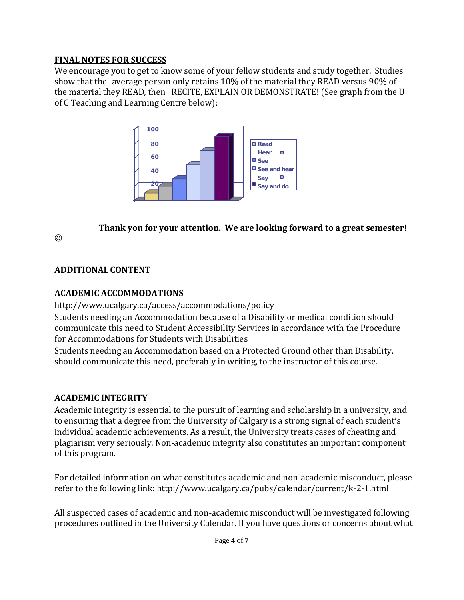#### **FINAL NOTES FOR SUCCESS**

We encourage you to get to know some of your fellow students and study together. Studies show that the average person only retains 10% of the material they READ versus 90% of the material they READ, then RECITE, EXPLAIN OR DEMONSTRATE! (See graph from the U of C Teaching and Learning Centre below):



# **Thank you for your attention. We are looking forward to a great semester!**

 $\odot$ 

#### **ADDITIONAL CONTENT**

#### **ACADEMIC ACCOMMODATIONS**

http://www.ucalgary.ca/access/accommodations/policy

Students needing an Accommodation because of a Disability or medical condition should communicate this need to Student Accessibility Services in accordance with the Procedure for Accommodations for Students with Disabilities

Students needing an Accommodation based on a Protected Ground other than Disability, should communicate this need, preferably in writing, to the instructor of this course.

## **ACADEMIC INTEGRITY**

Academic integrity is essential to the pursuit of learning and scholarship in a university, and to ensuring that a degree from the University of Calgary is a strong signal of each student's individual academic achievements. As a result, the University treats cases of cheating and plagiarism very seriously. Non-academic integrity also constitutes an important component of this program.

For detailed information on what constitutes academic and non-academic misconduct, please refer to the following link: http://www.ucalgary.ca/pubs/calendar/current/k-2-1.html

All suspected cases of academic and non-academic misconduct will be investigated following procedures outlined in the University Calendar. If you have questions or concerns about what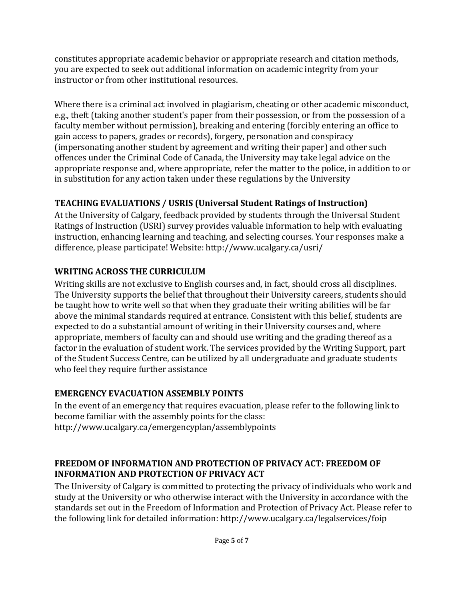constitutes appropriate academic behavior or appropriate research and citation methods, you are expected to seek out additional information on academic integrity from your instructor or from other institutional resources.

Where there is a criminal act involved in plagiarism, cheating or other academic misconduct, e.g., theft (taking another student's paper from their possession, or from the possession of a faculty member without permission), breaking and entering (forcibly entering an office to gain access to papers, grades or records), forgery, personation and conspiracy (impersonating another student by agreement and writing their paper) and other such offences under the Criminal Code of Canada, the University may take legal advice on the appropriate response and, where appropriate, refer the matter to the police, in addition to or in substitution for any action taken under these regulations by the University

# **TEACHING EVALUATIONS / USRIS (Universal Student Ratings of Instruction)**

At the University of Calgary, feedback provided by students through the Universal Student Ratings of Instruction (USRI) survey provides valuable information to help with evaluating instruction, enhancing learning and teaching, and selecting courses. Your responses make a difference, please participate! Website: http://www.ucalgary.ca/usri/

# **WRITING ACROSS THE CURRICULUM**

Writing skills are not exclusive to English courses and, in fact, should cross all disciplines. The University supports the belief that throughout their University careers, students should be taught how to write well so that when they graduate their writing abilities will be far above the minimal standards required at entrance. Consistent with this belief, students are expected to do a substantial amount of writing in their University courses and, where appropriate, members of faculty can and should use writing and the grading thereof as a factor in the evaluation of student work. The services provided by the Writing Support, part of the Student Success Centre, can be utilized by all undergraduate and graduate students who feel they require further assistance

# **EMERGENCY EVACUATION ASSEMBLY POINTS**

In the event of an emergency that requires evacuation, please refer to the following link to become familiar with the assembly points for the class: http://www.ucalgary.ca/emergencyplan/assemblypoints

## **FREEDOM OF INFORMATION AND PROTECTION OF PRIVACY ACT: FREEDOM OF INFORMATION AND PROTECTION OF PRIVACY ACT**

The University of Calgary is committed to protecting the privacy of individuals who work and study at the University or who otherwise interact with the University in accordance with the standards set out in the Freedom of Information and Protection of Privacy Act. Please refer to the following link for detailed information: http://www.ucalgary.ca/legalservices/foip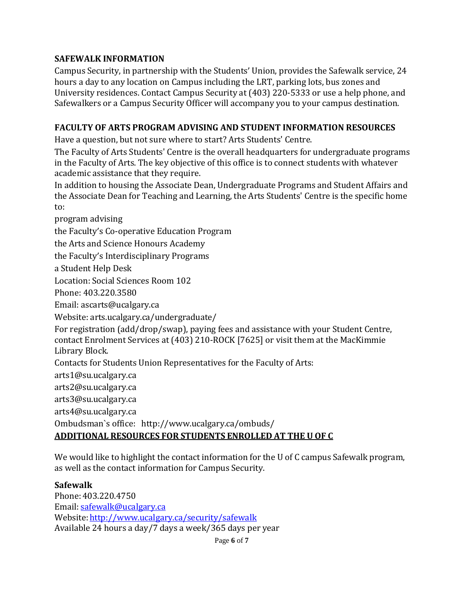#### **SAFEWALK INFORMATION**

Campus Security, in partnership with the Students' Union, provides the Safewalk service, 24 hours a day to any location on Campus including the LRT, parking lots, bus zones and University residences. Contact Campus Security at (403) 220-5333 or use a help phone, and Safewalkers or a Campus Security Officer will accompany you to your campus destination.

### **FACULTY OF ARTS PROGRAM ADVISING AND STUDENT INFORMATION RESOURCES**

Have a question, but not sure where to start? Arts Students' Centre.

The Faculty of Arts Students' Centre is the overall headquarters for undergraduate programs in the Faculty of Arts. The key objective of this office is to connect students with whatever academic assistance that they require.

In addition to housing the Associate Dean, Undergraduate Programs and Student Affairs and the Associate Dean for Teaching and Learning, the Arts Students' Centre is the specific home to:

program advising

the Faculty's Co-operative Education Program

the Arts and Science Honours Academy

the Faculty's Interdisciplinary Programs

a Student Help Desk

Location: Social Sciences Room 102

Phone: 403.220.3580

Email: ascarts@ucalgary.ca

Website: arts.ucalgary.ca/undergraduate/

For registration (add/drop/swap), paying fees and assistance with your Student Centre, contact Enrolment Services at (403) 210-ROCK [7625] or visit them at the MacKimmie Library Block.

Contacts for Students Union Representatives for the Faculty of Arts:

arts1@su.ucalgary.ca

arts2@su.ucalgary.ca

arts3@su.ucalgary.ca

arts4@su.ucalgary.ca

Ombudsman`s office: http://www.ucalgary.ca/ombuds/

#### **ADDITIONAL RESOURCES FOR STUDENTS ENROLLED AT THE U OF C**

We would like to highlight the contact information for the U of C campus Safewalk program, as well as the contact information for Campus Security.

#### **Safewalk**

Phone:403.220.4750 Email: [safewalk@ucalgary.ca](mailto:safewalk@ucalgary.ca) Website[:http://www.ucalgary.ca/security/safewalk](http://www.ucalgary.ca/security/safewalk) Available 24 hours a day/7 days a week/365 days per year

Page **6** of **7**